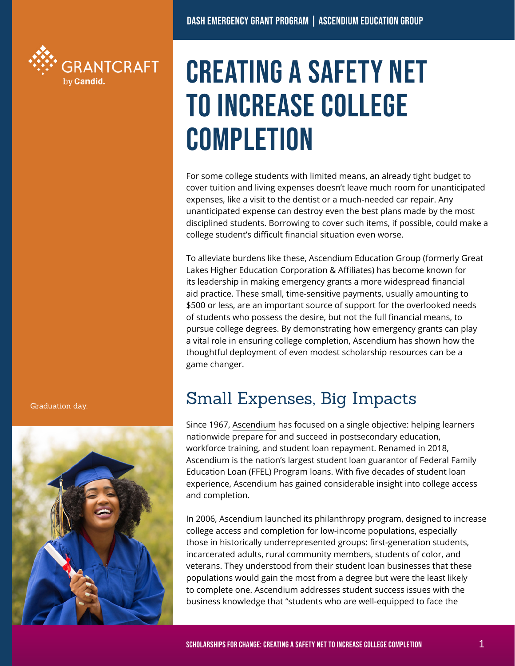

# CREATING A SAFETY NET TO INCREASE COLLEGE **COMPLETION**

For some college students with limited means, an already tight budget to cover tuition and living expenses doesn't leave much room for unanticipated expenses, like a visit to the dentist or a much-needed car repair. Any unanticipated expense can destroy even the best plans made by the most disciplined students. Borrowing to cover such items, if possible, could make a college student's difficult financial situation even worse.

To alleviate burdens like these, Ascendium Education Group (formerly Great Lakes Higher Education Corporation & Affiliates) has become known for its leadership in making emergency grants a more widespread financial aid practice. These small, time-sensitive payments, usually amounting to \$500 or less, are an important source of support for the overlooked needs of students who possess the desire, but not the full financial means, to pursue college degrees. By demonstrating how emergency grants can play a vital role in ensuring college completion, Ascendium has shown how the thoughtful deployment of even modest scholarship resources can be a game changer.

### Small Expenses, Big Impacts

Since 1967, [Ascendium](http://ascendiumphilanthropy.org) has focused on a single objective: helping learners nationwide prepare for and succeed in postsecondary education, workforce training, and student loan repayment. Renamed in 2018, Ascendium is the nation's largest student loan guarantor of Federal Family Education Loan (FFEL) Program loans. With five decades of student loan experience, Ascendium has gained considerable insight into college access and completion.

In 2006, Ascendium launched its philanthropy program, designed to increase college access and completion for low-income populations, especially those in historically underrepresented groups: first-generation students, incarcerated adults, rural community members, students of color, and veterans. They understood from their student loan businesses that these populations would gain the most from a degree but were the least likely to complete one. Ascendium addresses student success issues with the business knowledge that "students who are well-equipped to face the

Graduation day.

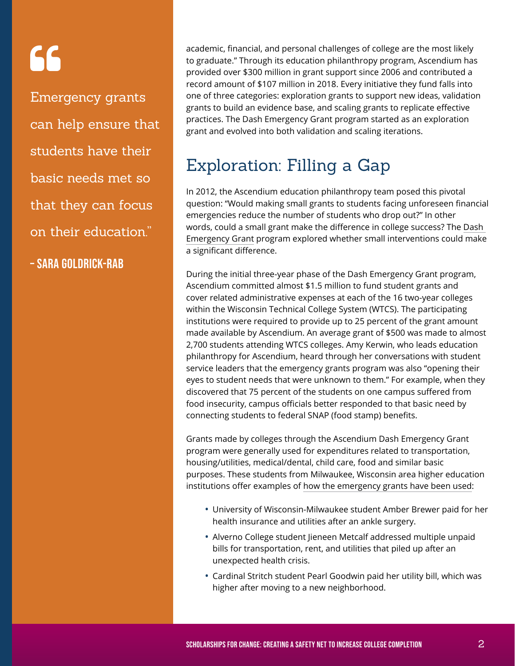# 66

Emergency grants can help ensure that students have their basic needs met so that they can focus on their education."

– sara goldrick-rab

academic, financial, and personal challenges of college are the most likely to graduate." Through its education philanthropy program, Ascendium has provided over \$300 million in grant support since 2006 and contributed a record amount of \$107 million in 2018. Every initiative they fund falls into one of three categories: exploration grants to support new ideas, validation grants to build an evidence base, and scaling grants to replicate effective practices. The Dash Emergency Grant program started as an exploration grant and evolved into both validation and scaling iterations.

## Exploration: Filling a Gap

In 2012, the Ascendium education philanthropy team posed this pivotal question: "Would making small grants to students facing unforeseen financial emergencies reduce the number of students who drop out?" In other words, could a small grant make the difference in college success? The [Dash](https://studentarc.org/tools-and-resources/presentation/dash-emergency-grant)  [Emergency Grant](https://studentarc.org/tools-and-resources/presentation/dash-emergency-grant) program explored whether small interventions could make a significant difference.

During the initial three-year phase of the Dash Emergency Grant program, Ascendium committed almost \$1.5 million to fund student grants and cover related administrative expenses at each of the 16 two-year colleges within the Wisconsin Technical College System (WTCS). The participating institutions were required to provide up to 25 percent of the grant amount made available by Ascendium. An average grant of \$500 was made to almost 2,700 students attending WTCS colleges. Amy Kerwin, who leads education philanthropy for Ascendium, heard through her conversations with student service leaders that the emergency grants program was also "opening their eyes to student needs that were unknown to them." For example, when they discovered that 75 percent of the students on one campus suffered from food insecurity, campus officials better responded to that basic need by connecting students to federal SNAP (food stamp) benefits.

Grants made by colleges through the Ascendium Dash Emergency Grant program were generally used for expenditures related to transportation, housing/utilities, medical/dental, child care, food and similar basic purposes. These students from Milwaukee, Wisconsin area higher education institutions offer examples of [how the emergency grants have been used](https://onmilwaukee.com/raisemke/articles/nns-dash-emergency-grant.html):

- **•** University of Wisconsin-Milwaukee student Amber Brewer paid for her health insurance and utilities after an ankle surgery.
- **•** Alverno College student Jieneen Metcalf addressed multiple unpaid bills for transportation, rent, and utilities that piled up after an unexpected health crisis.
- **•** Cardinal Stritch student Pearl Goodwin paid her utility bill, which was higher after moving to a new neighborhood.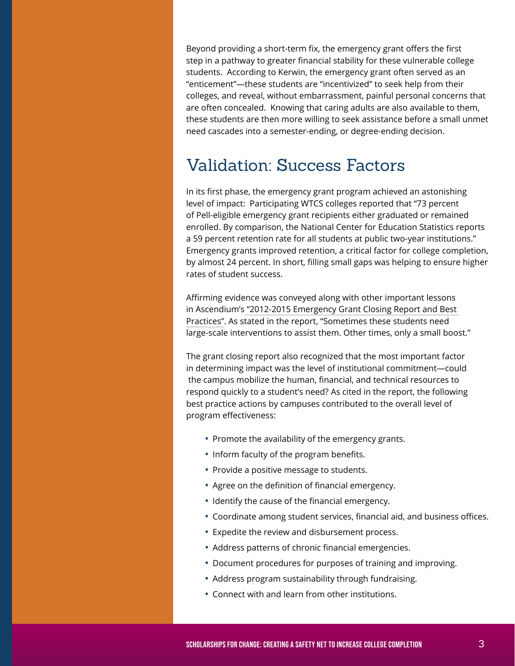Beyond providing a short-term fix, the emergency grant offers the first step in a pathway to greater financial stability for these vulnerable college students. According to Kerwin, the emergency grant often served as an "enticement"—these students are "incentivized" to seek help from their colleges, and reveal, without embarrassment, painful personal concerns that are often concealed. Knowing that caring adults are also available to them, these students are then more willing to seek assistance before a small unmet need cascades into a semester-ending, or degree-ending decision.

### Validation: Success Factors

In its first phase, the emergency grant program achieved an astonishing level of impact: Participating WTCS colleges reported that "73 percent of Pell-eligible emergency grant recipients either graduated or remained enrolled. By comparison, the National Center for Education Statistics reports a 59 percent retention rate for all students at public two-year institutions." Emergency grants improved retention, a critical factor for college completion, by almost 24 percent. In short, filling small gaps was helping to ensure higher rates of student success.

Affirming evidence was conveyed along with other important lessons in Ascendium's ["2012-2015 Emergency Grant Closing Report and Best](https://cdn2.hubspot.net/hubfs/4057809/EmerGrant_BestPract_Report.pdf) [Practices"](https://cdn2.hubspot.net/hubfs/4057809/EmerGrant_BestPract_Report.pdf). As stated in the report, "Sometimes these students need large-scale interventions to assist them. Other times, only a small boost."

The grant closing report also recognized that the most important factor in determining impact was the level of institutional commitment—could the campus mobilize the human, financial, and technical resources to respond quickly to a student's need? As cited in the report, the following best practice actions by campuses contributed to the overall level of program effectiveness:

- **•** Promote the availability of the emergency grants.
- **•** Inform faculty of the program benefits.
- **•** Provide a positive message to students.
- **•** Agree on the definition of financial emergency.
- **•** Identify the cause of the financial emergency.
- **•** Coordinate among student services, financial aid, and business offices.
- **•** Expedite the review and disbursement process.
- **•** Address patterns of chronic financial emergencies.
- **•** Document procedures for purposes of training and improving.
- **•** Address program sustainability through fundraising.
- **•** Connect with and learn from other institutions.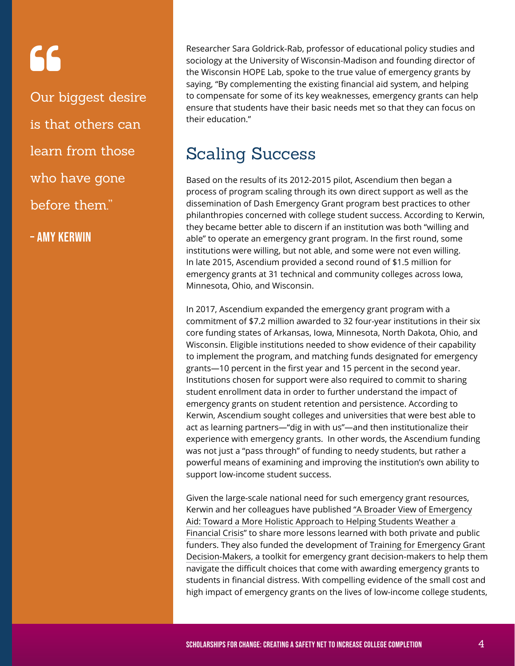# 66

Our biggest desire is that others can learn from those who have gone before them."

– Amy Kerwin

Researcher Sara Goldrick-Rab, professor of educational policy studies and sociology at the University of Wisconsin-Madison and founding director of the Wisconsin HOPE Lab, spoke to the true value of emergency grants by saying, "By complementing the existing financial aid system, and helping to compensate for some of its key weaknesses, emergency grants can help ensure that students have their basic needs met so that they can focus on their education."

### Scaling Success

Based on the results of its 2012-2015 pilot, Ascendium then began a process of program scaling through its own direct support as well as the dissemination of Dash Emergency Grant program best practices to other philanthropies concerned with college student success. According to Kerwin, they became better able to discern if an institution was both "willing and able" to operate an emergency grant program. In the first round, some institutions were willing, but not able, and some were not even willing. In late 2015, Ascendium provided a second round of \$1.5 million for emergency grants at 31 technical and community colleges across Iowa, Minnesota, Ohio, and Wisconsin.

In 2017, Ascendium expanded the emergency grant program with a commitment of \$7.2 million awarded to 32 four-year institutions in their six core funding states of Arkansas, Iowa, Minnesota, North Dakota, Ohio, and Wisconsin. Eligible institutions needed to show evidence of their capability to implement the program, and matching funds designated for emergency grants—10 percent in the first year and 15 percent in the second year. Institutions chosen for support were also required to commit to sharing student enrollment data in order to further understand the impact of emergency grants on student retention and persistence. According to Kerwin, Ascendium sought colleges and universities that were best able to act as learning partners—"dig in with us"—and then institutionalize their experience with emergency grants. In other words, the Ascendium funding was not just a "pass through" of funding to needy students, but rather a powerful means of examining and improving the institution's own ability to support low-income student success.

Given the large-scale national need for such emergency grant resources, Kerwin and her colleagues have published ["A Broader View of Emergency](https://cdn2.hubspot.net/hubfs/4057809/Dash_Closing_Report.pdf) [Aid: Toward a More Holistic Approach to Helping Students Weather a](https://cdn2.hubspot.net/hubfs/4057809/Dash_Closing_Report.pdf)  [Financial Crisis"](https://cdn2.hubspot.net/hubfs/4057809/Dash_Closing_Report.pdf) to share more lessons learned with both private and public funders. They also funded the development of [Training for Emergency Grant](https://studentarc.org/tools-and-resources/report/emergency-aid-for-higher-education-a-toolkit-and-resource-guide-for-decision-makers) [Decision-Makers,](https://studentarc.org/tools-and-resources/report/emergency-aid-for-higher-education-a-toolkit-and-resource-guide-for-decision-makers) a toolkit for emergency grant decision-makers to help them navigate the difficult choices that come with awarding emergency grants to students in financial distress. With compelling evidence of the small cost and high impact of emergency grants on the lives of low-income college students,